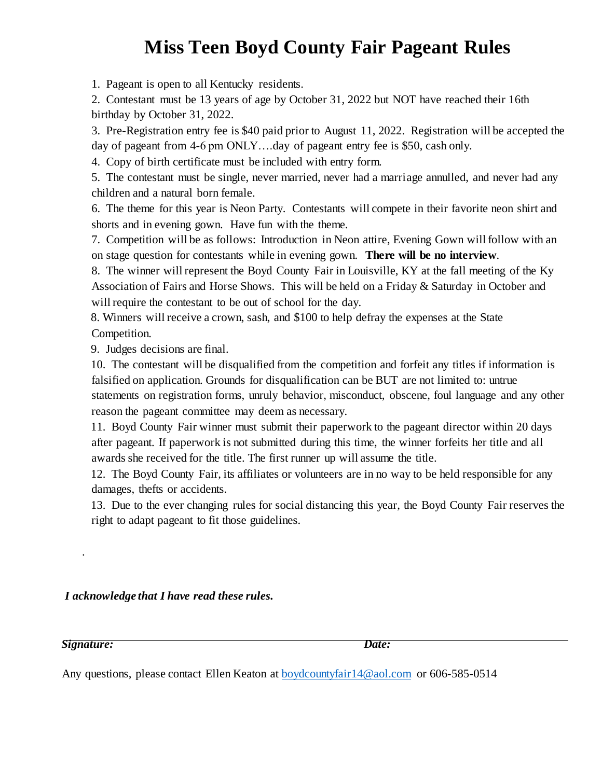## **Miss Teen Boyd County Fair Pageant Rules**

1. Pageant is open to all Kentucky residents.

2. Contestant must be 13 years of age by October 31, 2022 but NOT have reached their 16th birthday by October 31, 2022.

3. Pre-Registration entry fee is \$40 paid prior to August 11, 2022. Registration will be accepted the day of pageant from 4-6 pm ONLY….day of pageant entry fee is \$50, cash only.

4. Copy of birth certificate must be included with entry form.

5. The contestant must be single, never married, never had a marriage annulled, and never had any children and a natural born female.

6. The theme for this year is Neon Party. Contestants will compete in their favorite neon shirt and shorts and in evening gown. Have fun with the theme.

7. Competition will be as follows: Introduction in Neon attire, Evening Gown will follow with an on stage question for contestants while in evening gown. **There will be no interview**.

8. The winner will represent the Boyd County Fair in Louisville, KY at the fall meeting of the Ky Association of Fairs and Horse Shows. This will be held on a Friday & Saturday in October and will require the contestant to be out of school for the day.

8. Winners will receive a crown, sash, and \$100 to help defray the expenses at the State Competition.

9. Judges decisions are final.

10. The contestant will be disqualified from the competition and forfeit any titles if information is falsified on application. Grounds for disqualification can be BUT are not limited to: untrue statements on registration forms, unruly behavior, misconduct, obscene, foul language and any other reason the pageant committee may deem as necessary.

11. Boyd County Fair winner must submit their paperwork to the pageant director within 20 days after pageant. If paperwork is not submitted during this time, the winner forfeits her title and all awards she received for the title. The first runner up will assume the title.

12. The Boyd County Fair, its affiliates or volunteers are in no way to be held responsible for any damages, thefts or accidents.

13. Due to the ever changing rules for social distancing this year, the Boyd County Fair reserves the right to adapt pageant to fit those guidelines.

*I acknowledge that I have read these rules.* 

*Signature: Date:* 

.

Any questions, please contact Ellen Keaton at **boydcountyfair14@aol.com** or 606-585-0514